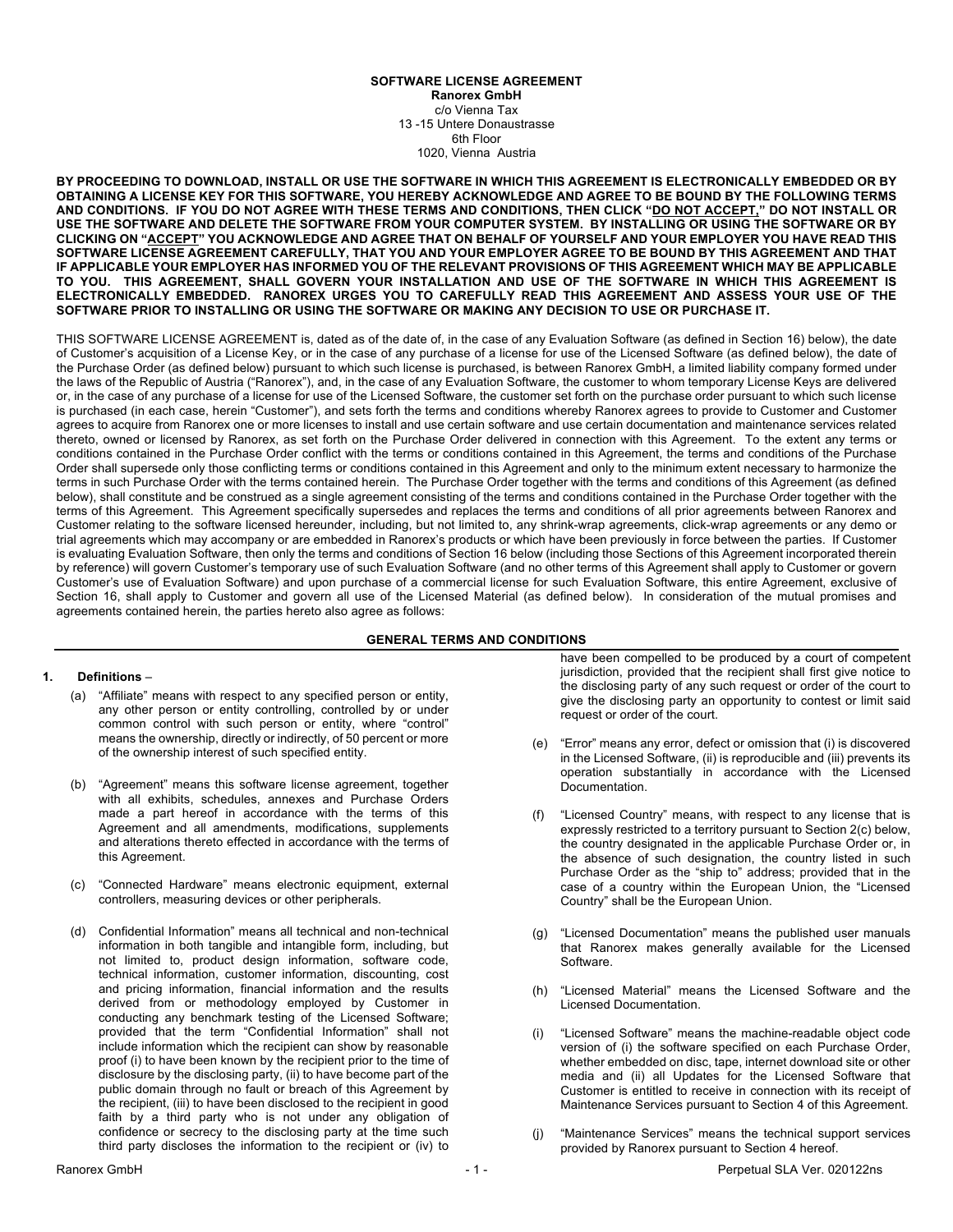### **SOFTWARE LICENSE AGREEMENT Ranorex GmbH** c/o Vienna Tax 13 -15 Untere Donaustrasse 6th Floor

1020, Vienna Austria

**BY PROCEEDING TO DOWNLOAD, INSTALL OR USE THE SOFTWARE IN WHICH THIS AGREEMENT IS ELECTRONICALLY EMBEDDED OR BY OBTAINING A LICENSE KEY FOR THIS SOFTWARE, YOU HEREBY ACKNOWLEDGE AND AGREE TO BE BOUND BY THE FOLLOWING TERMS AND CONDITIONS. IF YOU DO NOT AGREE WITH THESE TERMS AND CONDITIONS, THEN CLICK "DO NOT ACCEPT," DO NOT INSTALL OR USE THE SOFTWARE AND DELETE THE SOFTWARE FROM YOUR COMPUTER SYSTEM. BY INSTALLING OR USING THE SOFTWARE OR BY CLICKING ON "ACCEPT" YOU ACKNOWLEDGE AND AGREE THAT ON BEHALF OF YOURSELF AND YOUR EMPLOYER YOU HAVE READ THIS SOFTWARE LICENSE AGREEMENT CAREFULLY, THAT YOU AND YOUR EMPLOYER AGREE TO BE BOUND BY THIS AGREEMENT AND THAT IF APPLICABLE YOUR EMPLOYER HAS INFORMED YOU OF THE RELEVANT PROVISIONS OF THIS AGREEMENT WHICH MAY BE APPLICABLE TO YOU. THIS AGREEMENT, SHALL GOVERN YOUR INSTALLATION AND USE OF THE SOFTWARE IN WHICH THIS AGREEMENT IS ELECTRONICALLY EMBEDDED. RANOREX URGES YOU TO CAREFULLY READ THIS AGREEMENT AND ASSESS YOUR USE OF THE SOFTWARE PRIOR TO INSTALLING OR USING THE SOFTWARE OR MAKING ANY DECISION TO USE OR PURCHASE IT.**

THIS SOFTWARE LICENSE AGREEMENT is, dated as of the date of, in the case of any Evaluation Software (as defined in Section 16) below), the date of Customer's acquisition of a License Key, or in the case of any purchase of a license for use of the Licensed Software (as defined below), the date of the Purchase Order (as defined below) pursuant to which such license is purchased, is between Ranorex GmbH, a limited liability company formed under the laws of the Republic of Austria ("Ranorex"), and, in the case of any Evaluation Software, the customer to whom temporary License Keys are delivered or, in the case of any purchase of a license for use of the Licensed Software, the customer set forth on the purchase order pursuant to which such license is purchased (in each case, herein "Customer"), and sets forth the terms and conditions whereby Ranorex agrees to provide to Customer and Customer agrees to acquire from Ranorex one or more licenses to install and use certain software and use certain documentation and maintenance services related thereto, owned or licensed by Ranorex, as set forth on the Purchase Order delivered in connection with this Agreement. To the extent any terms or conditions contained in the Purchase Order conflict with the terms or conditions contained in this Agreement, the terms and conditions of the Purchase Order shall supersede only those conflicting terms or conditions contained in this Agreement and only to the minimum extent necessary to harmonize the terms in such Purchase Order with the terms contained herein. The Purchase Order together with the terms and conditions of this Agreement (as defined below), shall constitute and be construed as a single agreement consisting of the terms and conditions contained in the Purchase Order together with the terms of this Agreement. This Agreement specifically supersedes and replaces the terms and conditions of all prior agreements between Ranorex and Customer relating to the software licensed hereunder, including, but not limited to, any shrink-wrap agreements, click-wrap agreements or any demo or trial agreements which may accompany or are embedded in Ranorex's products or which have been previously in force between the parties. If Customer is evaluating Evaluation Software, then only the terms and conditions of Section 16 below (including those Sections of this Agreement incorporated therein by reference) will govern Customer's temporary use of such Evaluation Software (and no other terms of this Agreement shall apply to Customer or govern Customer's use of Evaluation Software) and upon purchase of a commercial license for such Evaluation Software, this entire Agreement, exclusive of Section 16, shall apply to Customer and govern all use of the Licensed Material (as defined below). In consideration of the mutual promises and agreements contained herein, the parties hereto also agree as follows:

### **GENERAL TERMS AND CONDITIONS**

### **1. Definitions** –

- (a) "Affiliate" means with respect to any specified person or entity, any other person or entity controlling, controlled by or under common control with such person or entity, where "control" means the ownership, directly or indirectly, of 50 percent or more of the ownership interest of such specified entity.
- (b) "Agreement" means this software license agreement, together with all exhibits, schedules, annexes and Purchase Orders made a part hereof in accordance with the terms of this Agreement and all amendments, modifications, supplements and alterations thereto effected in accordance with the terms of this Agreement.
- (c) "Connected Hardware" means electronic equipment, external controllers, measuring devices or other peripherals.
- (d) Confidential Information" means all technical and non-technical information in both tangible and intangible form, including, but not limited to, product design information, software code, technical information, customer information, discounting, cost and pricing information, financial information and the results derived from or methodology employed by Customer in conducting any benchmark testing of the Licensed Software; provided that the term "Confidential Information" shall not include information which the recipient can show by reasonable proof (i) to have been known by the recipient prior to the time of disclosure by the disclosing party, (ii) to have become part of the public domain through no fault or breach of this Agreement by the recipient, (iii) to have been disclosed to the recipient in good faith by a third party who is not under any obligation of confidence or secrecy to the disclosing party at the time such third party discloses the information to the recipient or (iv) to

have been compelled to be produced by a court of competent jurisdiction, provided that the recipient shall first give notice to the disclosing party of any such request or order of the court to give the disclosing party an opportunity to contest or limit said request or order of the court.

- (e) "Error" means any error, defect or omission that (i) is discovered in the Licensed Software, (ii) is reproducible and (iii) prevents its operation substantially in accordance with the Licensed Documentation.
- (f) "Licensed Country" means, with respect to any license that is expressly restricted to a territory pursuant to Section 2(c) below, the country designated in the applicable Purchase Order or, in the absence of such designation, the country listed in such Purchase Order as the "ship to" address; provided that in the case of a country within the European Union, the "Licensed Country" shall be the European Union.
- (g) "Licensed Documentation" means the published user manuals that Ranorex makes generally available for the Licensed Software.
- (h) "Licensed Material" means the Licensed Software and the Licensed Documentation.
- "Licensed Software" means the machine-readable object code version of (i) the software specified on each Purchase Order, whether embedded on disc, tape, internet download site or other media and (ii) all Updates for the Licensed Software that Customer is entitled to receive in connection with its receipt of Maintenance Services pursuant to Section 4 of this Agreement.
- "Maintenance Services" means the technical support services provided by Ranorex pursuant to Section 4 hereof.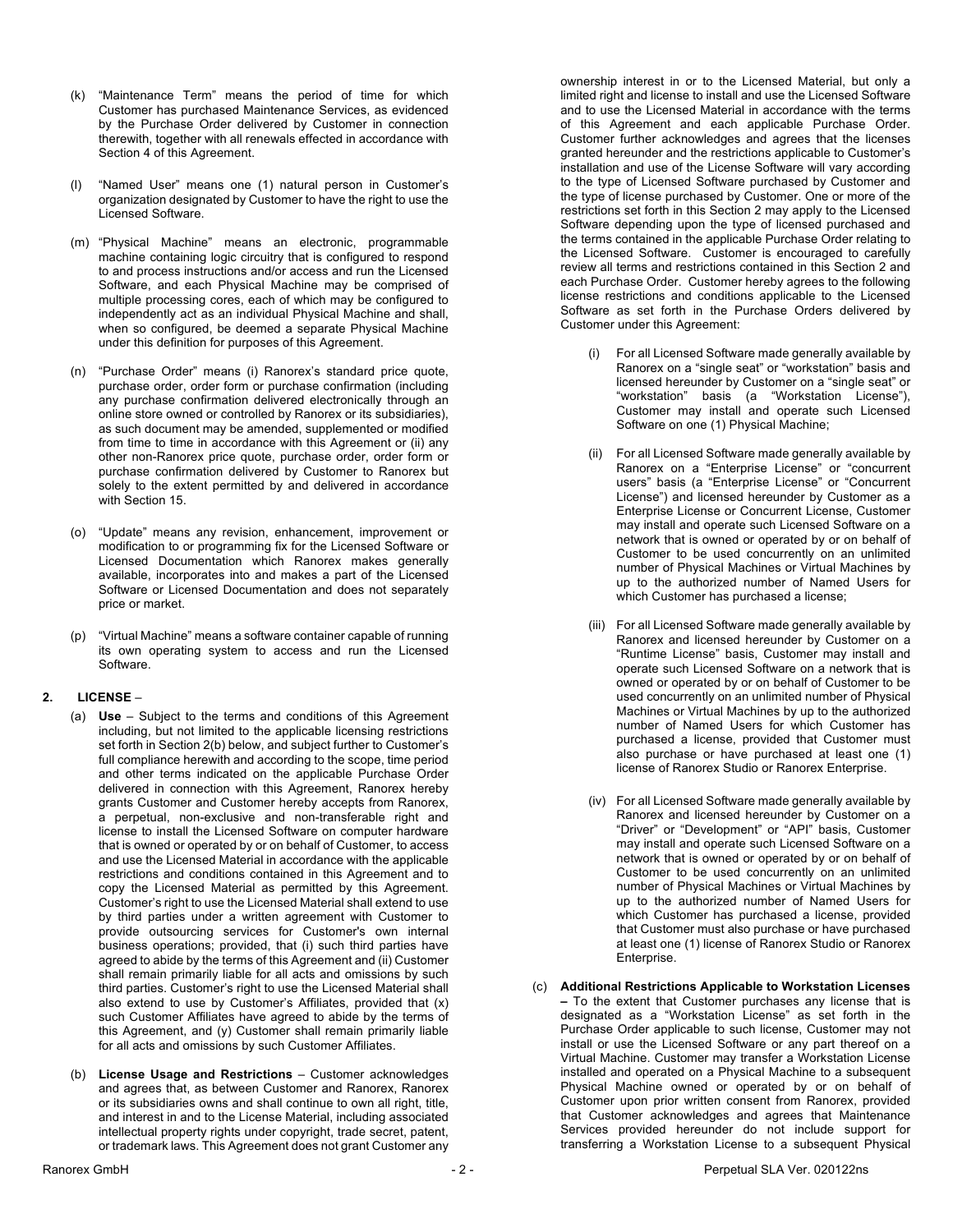- (k) "Maintenance Term" means the period of time for which Customer has purchased Maintenance Services, as evidenced by the Purchase Order delivered by Customer in connection therewith, together with all renewals effected in accordance with Section 4 of this Agreement.
- (l) "Named User" means one (1) natural person in Customer's organization designated by Customer to have the right to use the Licensed Software.
- (m) "Physical Machine" means an electronic, programmable machine containing logic circuitry that is configured to respond to and process instructions and/or access and run the Licensed Software, and each Physical Machine may be comprised of multiple processing cores, each of which may be configured to independently act as an individual Physical Machine and shall, when so configured, be deemed a separate Physical Machine under this definition for purposes of this Agreement.
- (n) "Purchase Order" means (i) Ranorex's standard price quote, purchase order, order form or purchase confirmation (including any purchase confirmation delivered electronically through an online store owned or controlled by Ranorex or its subsidiaries), as such document may be amended, supplemented or modified from time to time in accordance with this Agreement or (ii) any other non-Ranorex price quote, purchase order, order form or purchase confirmation delivered by Customer to Ranorex but solely to the extent permitted by and delivered in accordance with Section 15.
- (o) "Update" means any revision, enhancement, improvement or modification to or programming fix for the Licensed Software or Licensed Documentation which Ranorex makes generally available, incorporates into and makes a part of the Licensed Software or Licensed Documentation and does not separately price or market.
- (p) "Virtual Machine" means a software container capable of running its own operating system to access and run the Licensed Software.

### **2. LICENSE** –

- (a) **Use** Subject to the terms and conditions of this Agreement including, but not limited to the applicable licensing restrictions set forth in Section 2(b) below, and subject further to Customer's full compliance herewith and according to the scope, time period and other terms indicated on the applicable Purchase Order delivered in connection with this Agreement, Ranorex hereby grants Customer and Customer hereby accepts from Ranorex, a perpetual, non-exclusive and non-transferable right and license to install the Licensed Software on computer hardware that is owned or operated by or on behalf of Customer, to access and use the Licensed Material in accordance with the applicable restrictions and conditions contained in this Agreement and to copy the Licensed Material as permitted by this Agreement. Customer's right to use the Licensed Material shall extend to use by third parties under a written agreement with Customer to provide outsourcing services for Customer's own internal business operations; provided, that (i) such third parties have agreed to abide by the terms of this Agreement and (ii) Customer shall remain primarily liable for all acts and omissions by such third parties. Customer's right to use the Licensed Material shall also extend to use by Customer's Affiliates, provided that (x) such Customer Affiliates have agreed to abide by the terms of this Agreement, and (y) Customer shall remain primarily liable for all acts and omissions by such Customer Affiliates.
- (b) **License Usage and Restrictions** Customer acknowledges and agrees that, as between Customer and Ranorex, Ranorex or its subsidiaries owns and shall continue to own all right, title, and interest in and to the License Material, including associated intellectual property rights under copyright, trade secret, patent, or trademark laws. This Agreement does not grant Customer any

ownership interest in or to the Licensed Material, but only a limited right and license to install and use the Licensed Software and to use the Licensed Material in accordance with the terms of this Agreement and each applicable Purchase Order. Customer further acknowledges and agrees that the licenses granted hereunder and the restrictions applicable to Customer's installation and use of the License Software will vary according to the type of Licensed Software purchased by Customer and the type of license purchased by Customer. One or more of the restrictions set forth in this Section 2 may apply to the Licensed Software depending upon the type of licensed purchased and the terms contained in the applicable Purchase Order relating to the Licensed Software. Customer is encouraged to carefully review all terms and restrictions contained in this Section 2 and each Purchase Order. Customer hereby agrees to the following license restrictions and conditions applicable to the Licensed Software as set forth in the Purchase Orders delivered by Customer under this Agreement:

- For all Licensed Software made generally available by Ranorex on a "single seat" or "workstation" basis and licensed hereunder by Customer on a "single seat" or "workstation" basis (a "Workstation License"), Customer may install and operate such Licensed Software on one (1) Physical Machine;
- (ii) For all Licensed Software made generally available by Ranorex on a "Enterprise License" or "concurrent users" basis (a "Enterprise License" or "Concurrent License") and licensed hereunder by Customer as a Enterprise License or Concurrent License, Customer may install and operate such Licensed Software on a network that is owned or operated by or on behalf of Customer to be used concurrently on an unlimited number of Physical Machines or Virtual Machines by up to the authorized number of Named Users for which Customer has purchased a license;
- (iii) For all Licensed Software made generally available by Ranorex and licensed hereunder by Customer on a "Runtime License" basis, Customer may install and operate such Licensed Software on a network that is owned or operated by or on behalf of Customer to be used concurrently on an unlimited number of Physical Machines or Virtual Machines by up to the authorized number of Named Users for which Customer has purchased a license, provided that Customer must also purchase or have purchased at least one (1) license of Ranorex Studio or Ranorex Enterprise.
- (iv) For all Licensed Software made generally available by Ranorex and licensed hereunder by Customer on a "Driver" or "Development" or "API" basis, Customer may install and operate such Licensed Software on a network that is owned or operated by or on behalf of Customer to be used concurrently on an unlimited number of Physical Machines or Virtual Machines by up to the authorized number of Named Users for which Customer has purchased a license, provided that Customer must also purchase or have purchased at least one (1) license of Ranorex Studio or Ranorex Enterprise.
- (c) **Additional Restrictions Applicable to Workstation Licenses –** To the extent that Customer purchases any license that is designated as a "Workstation License" as set forth in the Purchase Order applicable to such license, Customer may not install or use the Licensed Software or any part thereof on a Virtual Machine. Customer may transfer a Workstation License installed and operated on a Physical Machine to a subsequent Physical Machine owned or operated by or on behalf of Customer upon prior written consent from Ranorex, provided that Customer acknowledges and agrees that Maintenance Services provided hereunder do not include support for transferring a Workstation License to a subsequent Physical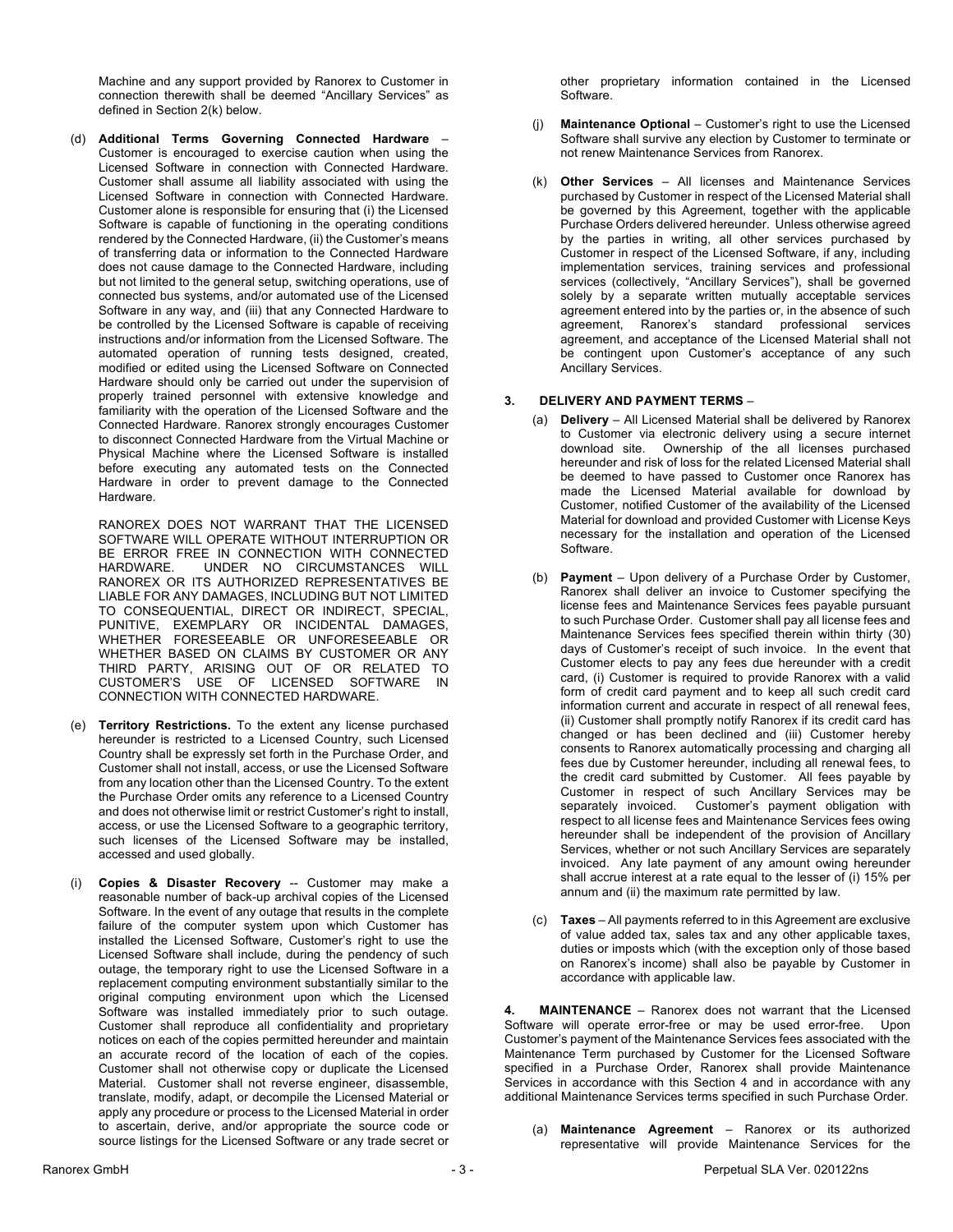Machine and any support provided by Ranorex to Customer in connection therewith shall be deemed "Ancillary Services" as defined in Section 2(k) below.

(d) **Additional Terms Governing Connected Hardware** – Customer is encouraged to exercise caution when using the Licensed Software in connection with Connected Hardware. Customer shall assume all liability associated with using the Licensed Software in connection with Connected Hardware. Customer alone is responsible for ensuring that (i) the Licensed Software is capable of functioning in the operating conditions rendered by the Connected Hardware, (ii) the Customer's means of transferring data or information to the Connected Hardware does not cause damage to the Connected Hardware, including but not limited to the general setup, switching operations, use of connected bus systems, and/or automated use of the Licensed Software in any way, and (iii) that any Connected Hardware to be controlled by the Licensed Software is capable of receiving instructions and/or information from the Licensed Software. The automated operation of running tests designed, created, modified or edited using the Licensed Software on Connected Hardware should only be carried out under the supervision of properly trained personnel with extensive knowledge and familiarity with the operation of the Licensed Software and the Connected Hardware. Ranorex strongly encourages Customer to disconnect Connected Hardware from the Virtual Machine or Physical Machine where the Licensed Software is installed before executing any automated tests on the Connected Hardware in order to prevent damage to the Connected Hardware.

RANOREX DOES NOT WARRANT THAT THE LICENSED SOFTWARE WILL OPERATE WITHOUT INTERRUPTION OR BE ERROR FREE IN CONNECTION WITH CONNECTED HARDWARE. UNDER NO CIRCUMSTANCES WILL RANOREX OR ITS AUTHORIZED REPRESENTATIVES BE LIABLE FOR ANY DAMAGES, INCLUDING BUT NOT LIMITED TO CONSEQUENTIAL, DIRECT OR INDIRECT, SPECIAL, PUNITIVE, EXEMPLARY OR INCIDENTAL DAMAGES, WHETHER FORESEEABLE OR UNFORESEEABLE OR WHETHER BASED ON CLAIMS BY CUSTOMER OR ANY THIRD PARTY, ARISING OUT OF OR RELATED TO CUSTOMER'S USE OF LICENSED SOFTWARE IN CONNECTION WITH CONNECTED HARDWARE.

- (e) **Territory Restrictions.** To the extent any license purchased hereunder is restricted to a Licensed Country, such Licensed Country shall be expressly set forth in the Purchase Order, and Customer shall not install, access, or use the Licensed Software from any location other than the Licensed Country. To the extent the Purchase Order omits any reference to a Licensed Country and does not otherwise limit or restrict Customer's right to install, access, or use the Licensed Software to a geographic territory, such licenses of the Licensed Software may be installed, accessed and used globally.
- (i) **Copies & Disaster Recovery** -- Customer may make a reasonable number of back-up archival copies of the Licensed Software. In the event of any outage that results in the complete failure of the computer system upon which Customer has installed the Licensed Software, Customer's right to use the Licensed Software shall include, during the pendency of such outage, the temporary right to use the Licensed Software in a replacement computing environment substantially similar to the original computing environment upon which the Licensed Software was installed immediately prior to such outage. Customer shall reproduce all confidentiality and proprietary notices on each of the copies permitted hereunder and maintain an accurate record of the location of each of the copies. Customer shall not otherwise copy or duplicate the Licensed Material. Customer shall not reverse engineer, disassemble, translate, modify, adapt, or decompile the Licensed Material or apply any procedure or process to the Licensed Material in order to ascertain, derive, and/or appropriate the source code or source listings for the Licensed Software or any trade secret or

other proprietary information contained in the Licensed Software.

- (j) **Maintenance Optional** Customer's right to use the Licensed Software shall survive any election by Customer to terminate or not renew Maintenance Services from Ranorex.
- (k) **Other Services**  All licenses and Maintenance Services purchased by Customer in respect of the Licensed Material shall be governed by this Agreement, together with the applicable Purchase Orders delivered hereunder. Unless otherwise agreed by the parties in writing, all other services purchased by Customer in respect of the Licensed Software, if any, including implementation services, training services and professional services (collectively, "Ancillary Services"), shall be governed solely by a separate written mutually acceptable services agreement entered into by the parties or, in the absence of such agreement, Ranorex's standard professional services agreement, and acceptance of the Licensed Material shall not be contingent upon Customer's acceptance of any such Ancillary Services.

## **3. DELIVERY AND PAYMENT TERMS** –

- (a) **Delivery** All Licensed Material shall be delivered by Ranorex to Customer via electronic delivery using a secure internet download site. Ownership of the all licenses purchased hereunder and risk of loss for the related Licensed Material shall be deemed to have passed to Customer once Ranorex has made the Licensed Material available for download by Customer, notified Customer of the availability of the Licensed Material for download and provided Customer with License Keys necessary for the installation and operation of the Licensed Software.
- (b) **Payment** Upon delivery of a Purchase Order by Customer, Ranorex shall deliver an invoice to Customer specifying the license fees and Maintenance Services fees payable pursuant to such Purchase Order. Customer shall pay all license fees and Maintenance Services fees specified therein within thirty (30) days of Customer's receipt of such invoice. In the event that Customer elects to pay any fees due hereunder with a credit card, (i) Customer is required to provide Ranorex with a valid form of credit card payment and to keep all such credit card information current and accurate in respect of all renewal fees, (ii) Customer shall promptly notify Ranorex if its credit card has changed or has been declined and (iii) Customer hereby consents to Ranorex automatically processing and charging all fees due by Customer hereunder, including all renewal fees, to the credit card submitted by Customer. All fees payable by Customer in respect of such Ancillary Services may be separately invoiced. Customer's payment obligation with respect to all license fees and Maintenance Services fees owing hereunder shall be independent of the provision of Ancillary Services, whether or not such Ancillary Services are separately invoiced. Any late payment of any amount owing hereunder shall accrue interest at a rate equal to the lesser of (i) 15% per annum and (ii) the maximum rate permitted by law.
- (c) **Taxes** All payments referred to in this Agreement are exclusive of value added tax, sales tax and any other applicable taxes, duties or imposts which (with the exception only of those based on Ranorex's income) shall also be payable by Customer in accordance with applicable law.

**4. MAINTENANCE** – Ranorex does not warrant that the Licensed Software will operate error-free or may be used error-free. Upon Customer's payment of the Maintenance Services fees associated with the Maintenance Term purchased by Customer for the Licensed Software specified in a Purchase Order, Ranorex shall provide Maintenance Services in accordance with this Section 4 and in accordance with any additional Maintenance Services terms specified in such Purchase Order.

(a) **Maintenance Agreement** – Ranorex or its authorized representative will provide Maintenance Services for the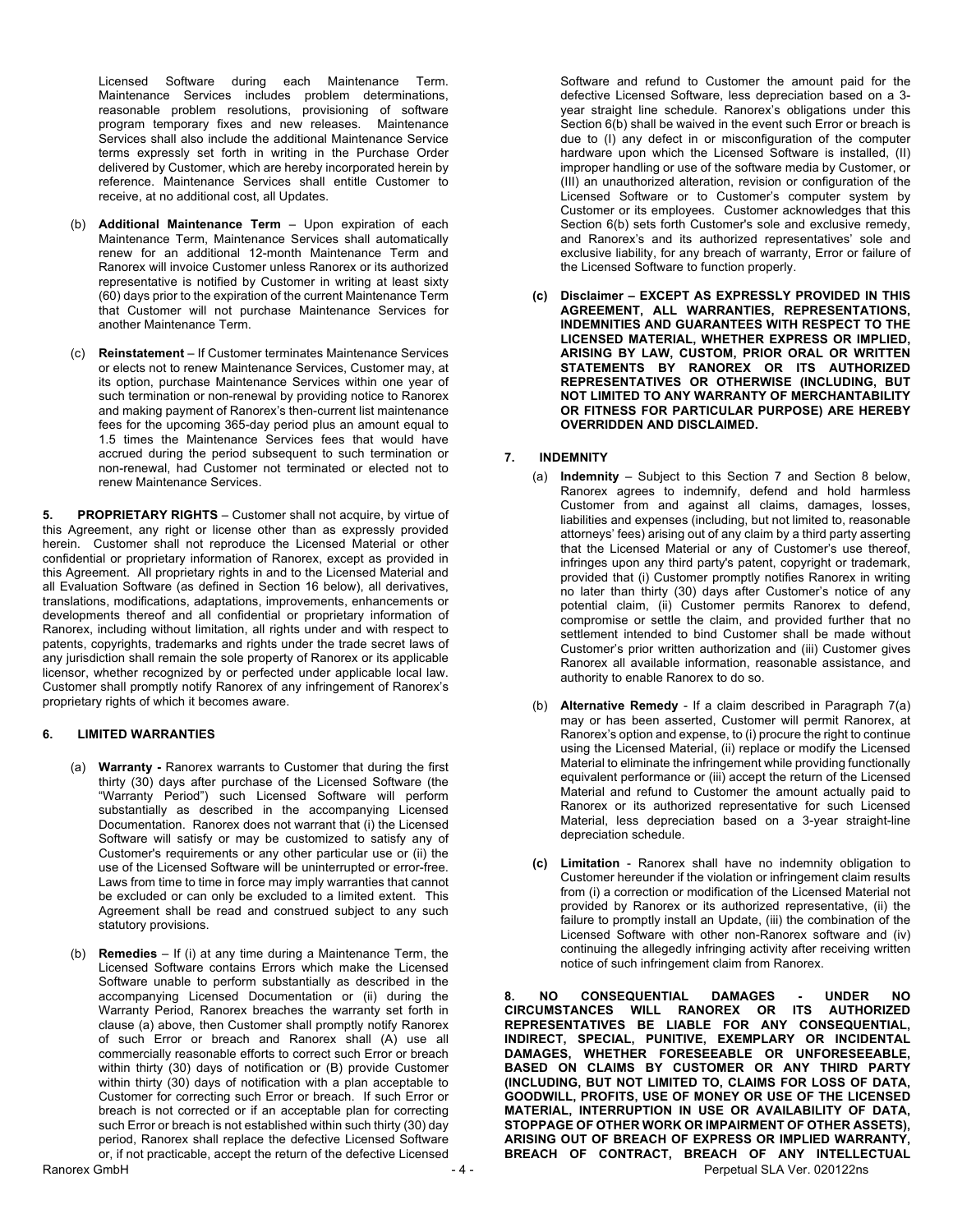Licensed Software during each Maintenance Term. Maintenance Services includes problem determinations, reasonable problem resolutions, provisioning of software program temporary fixes and new releases. Maintenance Services shall also include the additional Maintenance Service terms expressly set forth in writing in the Purchase Order delivered by Customer, which are hereby incorporated herein by reference. Maintenance Services shall entitle Customer to receive, at no additional cost, all Updates.

- (b) **Additional Maintenance Term** Upon expiration of each Maintenance Term, Maintenance Services shall automatically renew for an additional 12-month Maintenance Term and Ranorex will invoice Customer unless Ranorex or its authorized representative is notified by Customer in writing at least sixty (60) days prior to the expiration of the current Maintenance Term that Customer will not purchase Maintenance Services for another Maintenance Term.
- (c) **Reinstatement** If Customer terminates Maintenance Services or elects not to renew Maintenance Services, Customer may, at its option, purchase Maintenance Services within one year of such termination or non-renewal by providing notice to Ranorex and making payment of Ranorex's then-current list maintenance fees for the upcoming 365-day period plus an amount equal to 1.5 times the Maintenance Services fees that would have accrued during the period subsequent to such termination or non-renewal, had Customer not terminated or elected not to renew Maintenance Services.

**5. PROPRIETARY RIGHTS** – Customer shall not acquire, by virtue of this Agreement, any right or license other than as expressly provided herein. Customer shall not reproduce the Licensed Material or other confidential or proprietary information of Ranorex, except as provided in this Agreement. All proprietary rights in and to the Licensed Material and all Evaluation Software (as defined in Section 16 below), all derivatives, translations, modifications, adaptations, improvements, enhancements or developments thereof and all confidential or proprietary information of Ranorex, including without limitation, all rights under and with respect to patents, copyrights, trademarks and rights under the trade secret laws of any jurisdiction shall remain the sole property of Ranorex or its applicable licensor, whether recognized by or perfected under applicable local law. Customer shall promptly notify Ranorex of any infringement of Ranorex's proprietary rights of which it becomes aware.

### **6. LIMITED WARRANTIES**

- (a) **Warranty -** Ranorex warrants to Customer that during the first thirty (30) days after purchase of the Licensed Software (the "Warranty Period") such Licensed Software will perform substantially as described in the accompanying Licensed Documentation. Ranorex does not warrant that (i) the Licensed Software will satisfy or may be customized to satisfy any of Customer's requirements or any other particular use or (ii) the use of the Licensed Software will be uninterrupted or error-free. Laws from time to time in force may imply warranties that cannot be excluded or can only be excluded to a limited extent. This Agreement shall be read and construed subject to any such statutory provisions.
- (b) **Remedies**  If (i) at any time during a Maintenance Term, the Licensed Software contains Errors which make the Licensed Software unable to perform substantially as described in the accompanying Licensed Documentation or (ii) during the Warranty Period, Ranorex breaches the warranty set forth in clause (a) above, then Customer shall promptly notify Ranorex of such Error or breach and Ranorex shall (A) use all commercially reasonable efforts to correct such Error or breach within thirty (30) days of notification or (B) provide Customer within thirty (30) days of notification with a plan acceptable to Customer for correcting such Error or breach. If such Error or breach is not corrected or if an acceptable plan for correcting such Error or breach is not established within such thirty (30) day period, Ranorex shall replace the defective Licensed Software or, if not practicable, accept the return of the defective Licensed

Software and refund to Customer the amount paid for the defective Licensed Software, less depreciation based on a 3 year straight line schedule. Ranorex's obligations under this Section 6(b) shall be waived in the event such Error or breach is due to (I) any defect in or misconfiguration of the computer hardware upon which the Licensed Software is installed, (II) improper handling or use of the software media by Customer, or (III) an unauthorized alteration, revision or configuration of the Licensed Software or to Customer's computer system by Customer or its employees. Customer acknowledges that this Section 6(b) sets forth Customer's sole and exclusive remedy, and Ranorex's and its authorized representatives' sole and exclusive liability, for any breach of warranty, Error or failure of the Licensed Software to function properly.

**(c) Disclaimer – EXCEPT AS EXPRESSLY PROVIDED IN THIS AGREEMENT, ALL WARRANTIES, REPRESENTATIONS, INDEMNITIES AND GUARANTEES WITH RESPECT TO THE LICENSED MATERIAL, WHETHER EXPRESS OR IMPLIED, ARISING BY LAW, CUSTOM, PRIOR ORAL OR WRITTEN STATEMENTS BY RANOREX OR ITS AUTHORIZED REPRESENTATIVES OR OTHERWISE (INCLUDING, BUT NOT LIMITED TO ANY WARRANTY OF MERCHANTABILITY OR FITNESS FOR PARTICULAR PURPOSE) ARE HEREBY OVERRIDDEN AND DISCLAIMED.**

## **7. INDEMNITY**

- (a) **Indemnity** Subject to this Section 7 and Section 8 below, Ranorex agrees to indemnify, defend and hold harmless Customer from and against all claims, damages, losses, liabilities and expenses (including, but not limited to, reasonable attorneys' fees) arising out of any claim by a third party asserting that the Licensed Material or any of Customer's use thereof, infringes upon any third party's patent, copyright or trademark, provided that (i) Customer promptly notifies Ranorex in writing no later than thirty (30) days after Customer's notice of any potential claim, (ii) Customer permits Ranorex to defend, compromise or settle the claim, and provided further that no settlement intended to bind Customer shall be made without Customer's prior written authorization and (iii) Customer gives Ranorex all available information, reasonable assistance, and authority to enable Ranorex to do so.
- (b) **Alternative Remedy** If a claim described in Paragraph 7(a) may or has been asserted, Customer will permit Ranorex, at Ranorex's option and expense, to (i) procure the right to continue using the Licensed Material, (ii) replace or modify the Licensed Material to eliminate the infringement while providing functionally equivalent performance or (iii) accept the return of the Licensed Material and refund to Customer the amount actually paid to Ranorex or its authorized representative for such Licensed Material, less depreciation based on a 3-year straight-line depreciation schedule.
- **(c) Limitation** Ranorex shall have no indemnity obligation to Customer hereunder if the violation or infringement claim results from (i) a correction or modification of the Licensed Material not provided by Ranorex or its authorized representative, (ii) the failure to promptly install an Update, (iii) the combination of the Licensed Software with other non-Ranorex software and (iv) continuing the allegedly infringing activity after receiving written notice of such infringement claim from Ranorex.

Ranorex GmbH **Ranorex GmbH** - 4 - Perpetual SLA Ver. 020122ns **8. NO CONSEQUENTIAL DAMAGES - UNDER NO CIRCUMSTANCES WILL RANOREX OR ITS AUTHORIZED REPRESENTATIVES BE LIABLE FOR ANY CONSEQUENTIAL, INDIRECT, SPECIAL, PUNITIVE, EXEMPLARY OR INCIDENTAL DAMAGES, WHETHER FORESEEABLE OR UNFORESEEABLE, BASED ON CLAIMS BY CUSTOMER OR ANY THIRD PARTY (INCLUDING, BUT NOT LIMITED TO, CLAIMS FOR LOSS OF DATA, GOODWILL, PROFITS, USE OF MONEY OR USE OF THE LICENSED MATERIAL, INTERRUPTION IN USE OR AVAILABILITY OF DATA, STOPPAGE OF OTHER WORK OR IMPAIRMENT OF OTHER ASSETS), ARISING OUT OF BREACH OF EXPRESS OR IMPLIED WARRANTY, BREACH OF CONTRACT, BREACH OF ANY INTELLECTUAL**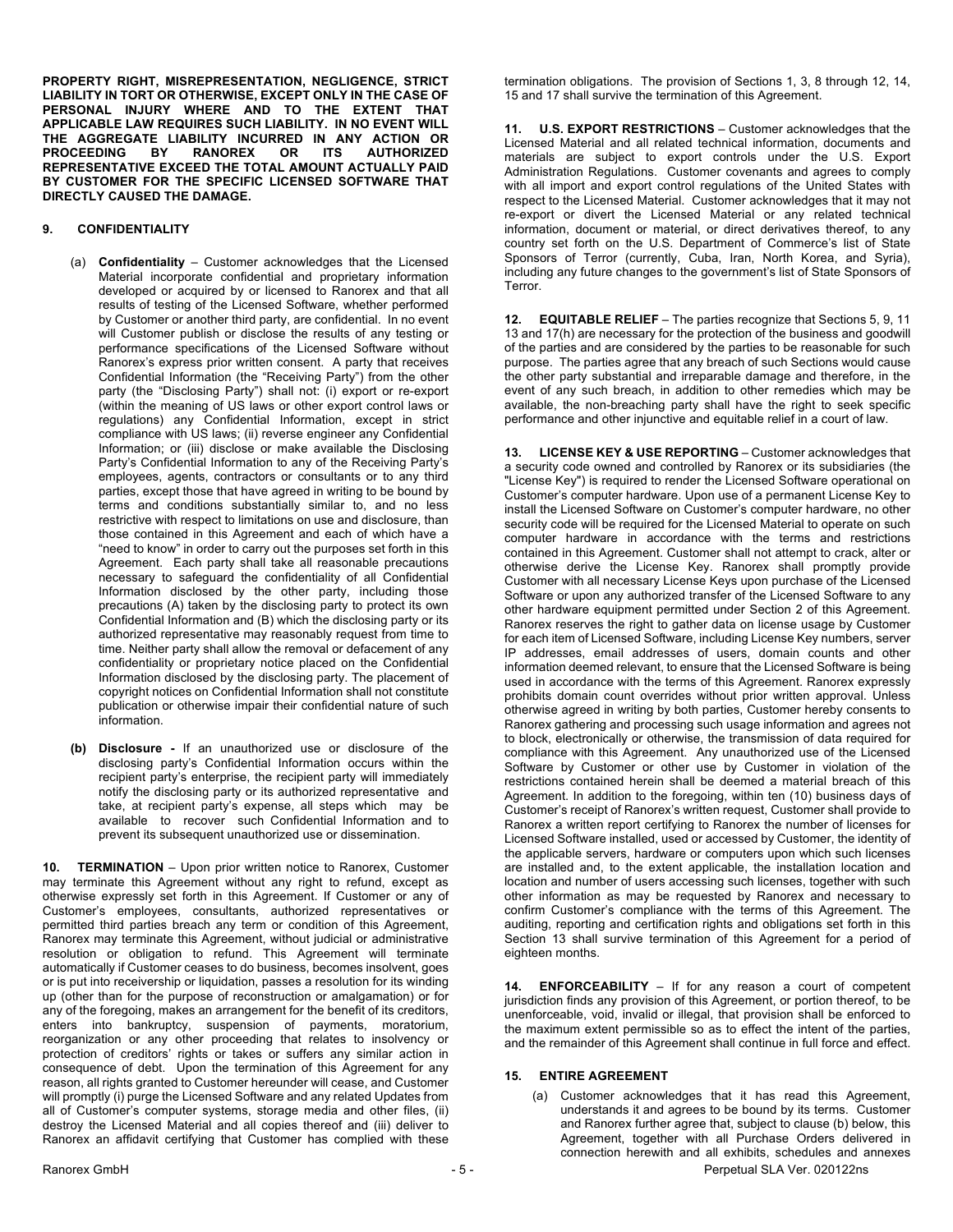**PROPERTY RIGHT, MISREPRESENTATION, NEGLIGENCE, STRICT LIABILITY IN TORT OR OTHERWISE, EXCEPT ONLY IN THE CASE OF PERSONAL INJURY WHERE AND TO THE EXTENT THAT APPLICABLE LAW REQUIRES SUCH LIABILITY. IN NO EVENT WILL THE AGGREGATE LIABILITY INCURRED IN ANY ACTION OR RANOREX OR ITS REPRESENTATIVE EXCEED THE TOTAL AMOUNT ACTUALLY PAID BY CUSTOMER FOR THE SPECIFIC LICENSED SOFTWARE THAT DIRECTLY CAUSED THE DAMAGE.**

### **9. CONFIDENTIALITY**

- (a) **Confidentiality** Customer acknowledges that the Licensed Material incorporate confidential and proprietary information developed or acquired by or licensed to Ranorex and that all results of testing of the Licensed Software, whether performed by Customer or another third party, are confidential. In no event will Customer publish or disclose the results of any testing or performance specifications of the Licensed Software without Ranorex's express prior written consent. A party that receives Confidential Information (the "Receiving Party") from the other party (the "Disclosing Party") shall not: (i) export or re-export (within the meaning of US laws or other export control laws or regulations) any Confidential Information, except in strict compliance with US laws; (ii) reverse engineer any Confidential Information; or (iii) disclose or make available the Disclosing Party's Confidential Information to any of the Receiving Party's employees, agents, contractors or consultants or to any third parties, except those that have agreed in writing to be bound by terms and conditions substantially similar to, and no less restrictive with respect to limitations on use and disclosure, than those contained in this Agreement and each of which have a "need to know" in order to carry out the purposes set forth in this Agreement. Each party shall take all reasonable precautions necessary to safeguard the confidentiality of all Confidential Information disclosed by the other party, including those precautions (A) taken by the disclosing party to protect its own Confidential Information and (B) which the disclosing party or its authorized representative may reasonably request from time to time. Neither party shall allow the removal or defacement of any confidentiality or proprietary notice placed on the Confidential Information disclosed by the disclosing party. The placement of copyright notices on Confidential Information shall not constitute publication or otherwise impair their confidential nature of such information.
- **(b) Disclosure -** If an unauthorized use or disclosure of the disclosing party's Confidential Information occurs within the recipient party's enterprise, the recipient party will immediately notify the disclosing party or its authorized representative and take, at recipient party's expense, all steps which may be available to recover such Confidential Information and to prevent its subsequent unauthorized use or dissemination.

10. **TERMINATION** - Upon prior written notice to Ranorex, Customer may terminate this Agreement without any right to refund, except as otherwise expressly set forth in this Agreement. If Customer or any of Customer's employees, consultants, authorized representatives or permitted third parties breach any term or condition of this Agreement, Ranorex may terminate this Agreement, without judicial or administrative resolution or obligation to refund. This Agreement will terminate automatically if Customer ceases to do business, becomes insolvent, goes or is put into receivership or liquidation, passes a resolution for its winding up (other than for the purpose of reconstruction or amalgamation) or for any of the foregoing, makes an arrangement for the benefit of its creditors, enters into bankruptcy, suspension of payments, moratorium, reorganization or any other proceeding that relates to insolvency or protection of creditors' rights or takes or suffers any similar action in consequence of debt. Upon the termination of this Agreement for any reason, all rights granted to Customer hereunder will cease, and Customer will promptly (i) purge the Licensed Software and any related Updates from all of Customer's computer systems, storage media and other files, (ii) destroy the Licensed Material and all copies thereof and (iii) deliver to Ranorex an affidavit certifying that Customer has complied with these

termination obligations. The provision of Sections 1, 3, 8 through 12, 14, 15 and 17 shall survive the termination of this Agreement.

**11. U.S. EXPORT RESTRICTIONS** – Customer acknowledges that the Licensed Material and all related technical information, documents and materials are subject to export controls under the U.S. Export Administration Regulations. Customer covenants and agrees to comply with all import and export control regulations of the United States with respect to the Licensed Material. Customer acknowledges that it may not re-export or divert the Licensed Material or any related technical information, document or material, or direct derivatives thereof, to any country set forth on the U.S. Department of Commerce's list of State Sponsors of Terror (currently, Cuba, Iran, North Korea, and Syria), including any future changes to the government's list of State Sponsors of Terror.

**12. EQUITABLE RELIEF** – The parties recognize that Sections 5, 9, 11 13 and 17(h) are necessary for the protection of the business and goodwill of the parties and are considered by the parties to be reasonable for such purpose. The parties agree that any breach of such Sections would cause the other party substantial and irreparable damage and therefore, in the event of any such breach, in addition to other remedies which may be available, the non-breaching party shall have the right to seek specific performance and other injunctive and equitable relief in a court of law.

**13. LICENSE KEY & USE REPORTING** – Customer acknowledges that a security code owned and controlled by Ranorex or its subsidiaries (the "License Key") is required to render the Licensed Software operational on Customer's computer hardware. Upon use of a permanent License Key to install the Licensed Software on Customer's computer hardware, no other security code will be required for the Licensed Material to operate on such computer hardware in accordance with the terms and restrictions contained in this Agreement. Customer shall not attempt to crack, alter or otherwise derive the License Key. Ranorex shall promptly provide Customer with all necessary License Keys upon purchase of the Licensed Software or upon any authorized transfer of the Licensed Software to any other hardware equipment permitted under Section 2 of this Agreement. Ranorex reserves the right to gather data on license usage by Customer for each item of Licensed Software, including License Key numbers, server IP addresses, email addresses of users, domain counts and other information deemed relevant, to ensure that the Licensed Software is being used in accordance with the terms of this Agreement. Ranorex expressly prohibits domain count overrides without prior written approval. Unless otherwise agreed in writing by both parties, Customer hereby consents to Ranorex gathering and processing such usage information and agrees not to block, electronically or otherwise, the transmission of data required for compliance with this Agreement. Any unauthorized use of the Licensed Software by Customer or other use by Customer in violation of the restrictions contained herein shall be deemed a material breach of this Agreement. In addition to the foregoing, within ten (10) business days of Customer's receipt of Ranorex's written request, Customer shall provide to Ranorex a written report certifying to Ranorex the number of licenses for Licensed Software installed, used or accessed by Customer, the identity of the applicable servers, hardware or computers upon which such licenses are installed and, to the extent applicable, the installation location and location and number of users accessing such licenses, together with such other information as may be requested by Ranorex and necessary to confirm Customer's compliance with the terms of this Agreement. The auditing, reporting and certification rights and obligations set forth in this Section 13 shall survive termination of this Agreement for a period of eighteen months.

**14. ENFORCEABILITY** – If for any reason a court of competent jurisdiction finds any provision of this Agreement, or portion thereof, to be unenforceable, void, invalid or illegal, that provision shall be enforced to the maximum extent permissible so as to effect the intent of the parties, and the remainder of this Agreement shall continue in full force and effect.

# **15. ENTIRE AGREEMENT**

Ranorex GmbH  $-5$ -<br>Perpetual SLA Ver. 020122ns (a) Customer acknowledges that it has read this Agreement, understands it and agrees to be bound by its terms. Customer and Ranorex further agree that, subject to clause (b) below, this Agreement, together with all Purchase Orders delivered in connection herewith and all exhibits, schedules and annexes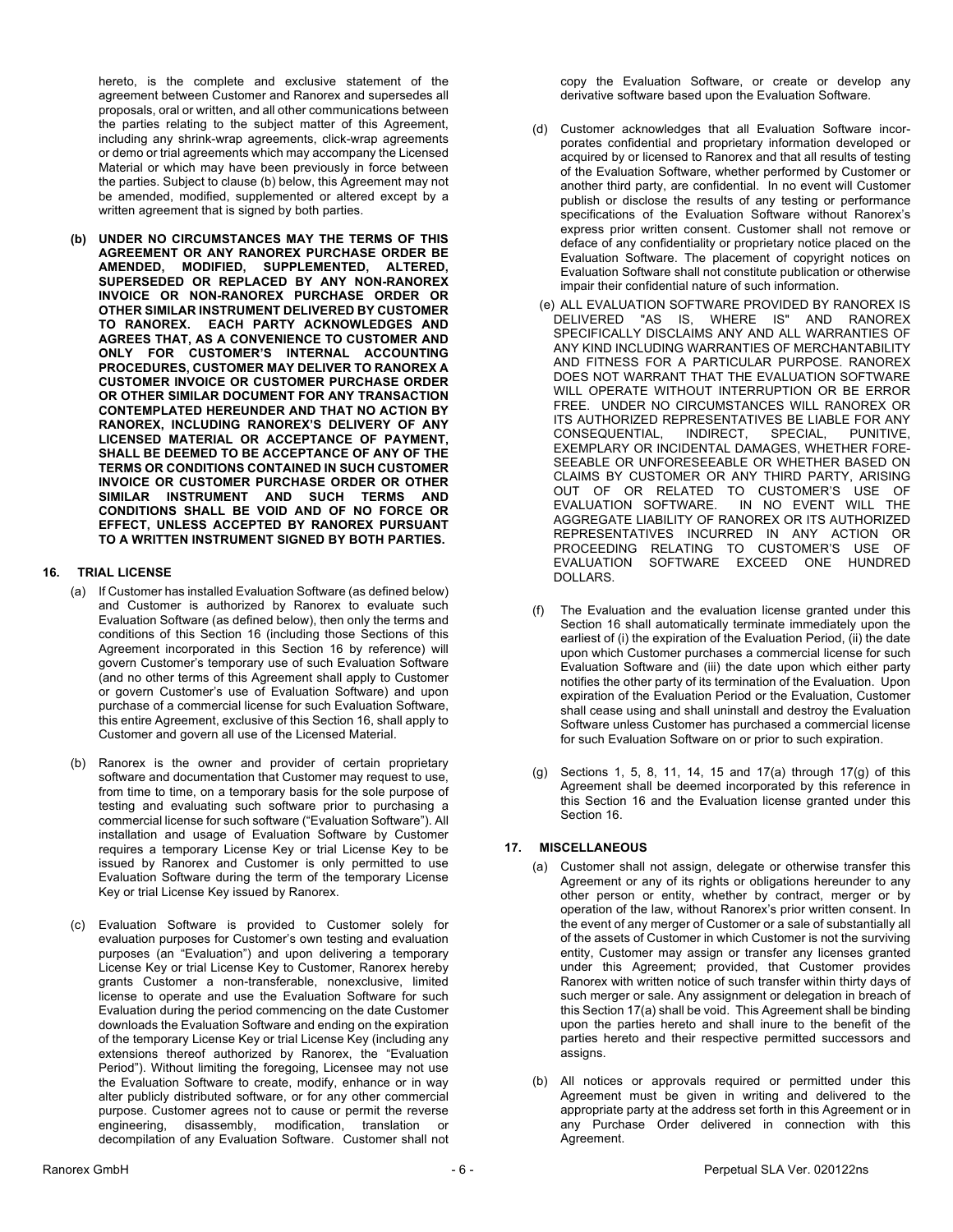hereto, is the complete and exclusive statement of the agreement between Customer and Ranorex and supersedes all proposals, oral or written, and all other communications between the parties relating to the subject matter of this Agreement, including any shrink-wrap agreements, click-wrap agreements or demo or trial agreements which may accompany the Licensed Material or which may have been previously in force between the parties. Subject to clause (b) below, this Agreement may not be amended, modified, supplemented or altered except by a written agreement that is signed by both parties.

**(b) UNDER NO CIRCUMSTANCES MAY THE TERMS OF THIS AGREEMENT OR ANY RANOREX PURCHASE ORDER BE AMENDED, MODIFIED, SUPPLEMENTED, ALTERED, SUPERSEDED OR REPLACED BY ANY NON-RANOREX INVOICE OR NON-RANOREX PURCHASE ORDER OR OTHER SIMILAR INSTRUMENT DELIVERED BY CUSTOMER TO RANOREX. EACH PARTY ACKNOWLEDGES AND AGREES THAT, AS A CONVENIENCE TO CUSTOMER AND ONLY FOR CUSTOMER'S INTERNAL ACCOUNTING PROCEDURES, CUSTOMER MAY DELIVER TO RANOREX A CUSTOMER INVOICE OR CUSTOMER PURCHASE ORDER OR OTHER SIMILAR DOCUMENT FOR ANY TRANSACTION CONTEMPLATED HEREUNDER AND THAT NO ACTION BY RANOREX, INCLUDING RANOREX'S DELIVERY OF ANY LICENSED MATERIAL OR ACCEPTANCE OF PAYMENT, SHALL BE DEEMED TO BE ACCEPTANCE OF ANY OF THE TERMS OR CONDITIONS CONTAINED IN SUCH CUSTOMER INVOICE OR CUSTOMER PURCHASE ORDER OR OTHER SIMILAR INSTRUMENT AND SUCH TERMS AND CONDITIONS SHALL BE VOID AND OF NO FORCE OR EFFECT, UNLESS ACCEPTED BY RANOREX PURSUANT TO A WRITTEN INSTRUMENT SIGNED BY BOTH PARTIES.**

## **16. TRIAL LICENSE**

- (a) If Customer has installed Evaluation Software (as defined below) and Customer is authorized by Ranorex to evaluate such Evaluation Software (as defined below), then only the terms and conditions of this Section 16 (including those Sections of this Agreement incorporated in this Section 16 by reference) will govern Customer's temporary use of such Evaluation Software (and no other terms of this Agreement shall apply to Customer or govern Customer's use of Evaluation Software) and upon purchase of a commercial license for such Evaluation Software, this entire Agreement, exclusive of this Section 16, shall apply to Customer and govern all use of the Licensed Material.
- (b) Ranorex is the owner and provider of certain proprietary software and documentation that Customer may request to use, from time to time, on a temporary basis for the sole purpose of testing and evaluating such software prior to purchasing a commercial license for such software ("Evaluation Software"). All installation and usage of Evaluation Software by Customer requires a temporary License Key or trial License Key to be issued by Ranorex and Customer is only permitted to use Evaluation Software during the term of the temporary License Key or trial License Key issued by Ranorex.
- (c) Evaluation Software is provided to Customer solely for evaluation purposes for Customer's own testing and evaluation purposes (an "Evaluation") and upon delivering a temporary License Key or trial License Key to Customer, Ranorex hereby grants Customer a non-transferable, nonexclusive, limited license to operate and use the Evaluation Software for such Evaluation during the period commencing on the date Customer downloads the Evaluation Software and ending on the expiration of the temporary License Key or trial License Key (including any extensions thereof authorized by Ranorex, the "Evaluation Period"). Without limiting the foregoing, Licensee may not use the Evaluation Software to create, modify, enhance or in way alter publicly distributed software, or for any other commercial purpose. Customer agrees not to cause or permit the reverse engineering, disassembly, modification, translation or decompilation of any Evaluation Software. Customer shall not

copy the Evaluation Software, or create or develop any derivative software based upon the Evaluation Software.

- (d) Customer acknowledges that all Evaluation Software incorporates confidential and proprietary information developed or acquired by or licensed to Ranorex and that all results of testing of the Evaluation Software, whether performed by Customer or another third party, are confidential. In no event will Customer publish or disclose the results of any testing or performance specifications of the Evaluation Software without Ranorex's express prior written consent. Customer shall not remove or deface of any confidentiality or proprietary notice placed on the Evaluation Software. The placement of copyright notices on Evaluation Software shall not constitute publication or otherwise impair their confidential nature of such information.
- (e) ALL EVALUATION SOFTWARE PROVIDED BY RANOREX IS DELIVERED "AS IS, WHERE IS" AND RANOREX SPECIFICALLY DISCLAIMS ANY AND ALL WARRANTIES OF ANY KIND INCLUDING WARRANTIES OF MERCHANTABILITY AND FITNESS FOR A PARTICULAR PURPOSE. RANOREX DOES NOT WARRANT THAT THE EVALUATION SOFTWARE WILL OPERATE WITHOUT INTERRUPTION OR BE ERROR FREE. UNDER NO CIRCUMSTANCES WILL RANOREX OR ITS AUTHORIZED REPRESENTATIVES BE LIABLE FOR ANY CONSEQUENTIAL, INDIRECT, SPECIAL, PUNITIVE, EXEMPLARY OR INCIDENTAL DAMAGES, WHETHER FORE-SEEABLE OR UNFORESEEABLE OR WHETHER BASED ON CLAIMS BY CUSTOMER OR ANY THIRD PARTY, ARISING OUT OF OR RELATED TO CUSTOMER'S USE OF EVALUATION SOFTWARE. IN NO EVENT WILL THE IN NO EVENT WILL THE AGGREGATE LIABILITY OF RANOREX OR ITS AUTHORIZED REPRESENTATIVES INCURRED IN ANY ACTION OR PROCEEDING RELATING TO CUSTOMER'S USE OF EVALUATION SOFTWARE EXCEED ONE HUNDRED DOLLARS.
- (f) The Evaluation and the evaluation license granted under this Section 16 shall automatically terminate immediately upon the earliest of (i) the expiration of the Evaluation Period, (ii) the date upon which Customer purchases a commercial license for such Evaluation Software and (iii) the date upon which either party notifies the other party of its termination of the Evaluation. Upon expiration of the Evaluation Period or the Evaluation, Customer shall cease using and shall uninstall and destroy the Evaluation Software unless Customer has purchased a commercial license for such Evaluation Software on or prior to such expiration.
- (g) Sections 1, 5, 8, 11, 14, 15 and 17(a) through 17(g) of this Agreement shall be deemed incorporated by this reference in this Section 16 and the Evaluation license granted under this Section 16.

### **17. MISCELLANEOUS**

- (a) Customer shall not assign, delegate or otherwise transfer this Agreement or any of its rights or obligations hereunder to any other person or entity, whether by contract, merger or by operation of the law, without Ranorex's prior written consent. In the event of any merger of Customer or a sale of substantially all of the assets of Customer in which Customer is not the surviving entity, Customer may assign or transfer any licenses granted under this Agreement; provided, that Customer provides Ranorex with written notice of such transfer within thirty days of such merger or sale. Any assignment or delegation in breach of this Section 17(a) shall be void. This Agreement shall be binding upon the parties hereto and shall inure to the benefit of the parties hereto and their respective permitted successors and assigns.
- (b) All notices or approvals required or permitted under this Agreement must be given in writing and delivered to the appropriate party at the address set forth in this Agreement or in any Purchase Order delivered in connection with this Agreement.